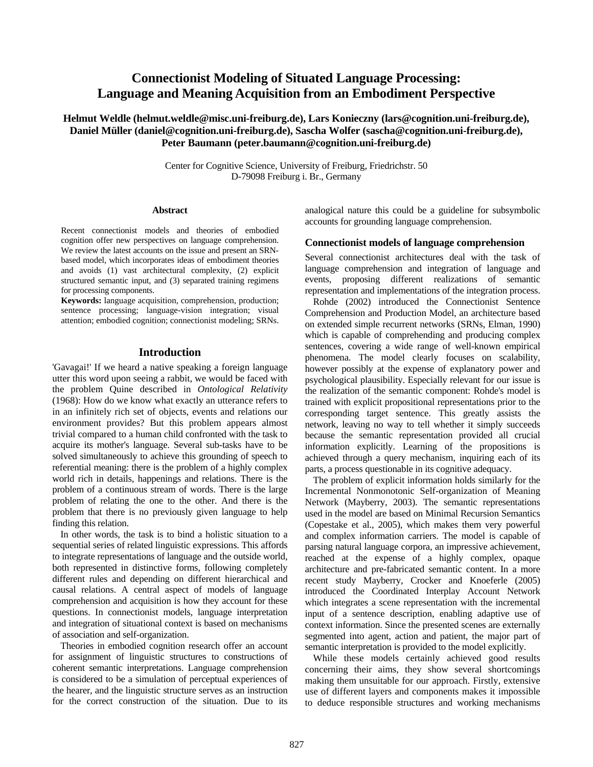# **Connectionist Modeling of Situated Language Processing: Language and Meaning Acquisition from an Embodiment Perspective**

# **Helmut Weldle (helmut.weldle@misc.uni-freiburg.de), Lars Konieczny ([lars@cognition.uni-freiburg.de\)](mailto:lars@cognition.iig.uni-freiburg.de), Daniel Müller (daniel@cognition.uni-freiburg.de), Sascha Wolfer (sascha@cognition.uni-freiburg.de), Peter Baumann (peter.baumann@cognition.uni-freiburg.de)**

Center for Cognitive Science, University of Freiburg, Friedrichstr. 50 D-79098 Freiburg i. Br., Germany

### **Abstract**

Recent connectionist models and theories of embodied cognition offer new perspectives on language comprehension. We review the latest accounts on the issue and present an SRNbased model, which incorporates ideas of embodiment theories and avoids (1) vast architectural complexity, (2) explicit structured semantic input, and (3) separated training regimens for processing components.

**Keywords:** language acquisition, comprehension, production; sentence processing; language-vision integration; visual attention; embodied cognition; connectionist modeling; SRNs.

### **Introduction**

'Gavagai!' If we heard a native speaking a foreign language utter this word upon seeing a rabbit, we would be faced with the problem Quine described in *Ontological Relativity* (1968): How do we know what exactly an utterance refers to in an infinitely rich set of objects, events and relations our environment provides? But this problem appears almost trivial compared to a human child confronted with the task to acquire its mother's language. Several sub-tasks have to be solved simultaneously to achieve this grounding of speech to referential meaning: there is the problem of a highly complex world rich in details, happenings and relations. There is the problem of a continuous stream of words. There is the large problem of relating the one to the other. And there is the problem that there is no previously given language to help finding this relation.

In other words, the task is to bind a holistic situation to a sequential series of related linguistic expressions. This affords to integrate representations of language and the outside world, both represented in distinctive forms, following completely different rules and depending on different hierarchical and causal relations. A central aspect of models of language comprehension and acquisition is how they account for these questions. In connectionist models, language interpretation and integration of situational context is based on mechanisms of association and self-organization.

Theories in embodied cognition research offer an account for assignment of linguistic structures to constructions of coherent semantic interpretations. Language comprehension is considered to be a simulation of perceptual experiences of the hearer, and the linguistic structure serves as an instruction for the correct construction of the situation. Due to its

analogical nature this could be a guideline for subsymbolic accounts for grounding language comprehension.

## **Connectionist models of language comprehension**

Several connectionist architectures deal with the task of language comprehension and integration of language and events, proposing different realizations of semantic representation and implementations of the integration process.

Rohde (2002) introduced the Connectionist Sentence Comprehension and Production Model, an architecture based on extended simple recurrent networks (SRNs, Elman, 1990) which is capable of comprehending and producing complex sentences, covering a wide range of well-known empirical phenomena. The model clearly focuses on scalability, however possibly at the expense of explanatory power and psychological plausibility. Especially relevant for our issue is the realization of the semantic component: Rohde's model is trained with explicit propositional representations prior to the corresponding target sentence. This greatly assists the network, leaving no way to tell whether it simply succeeds because the semantic representation provided all crucial information explicitly. Learning of the propositions is achieved through a query mechanism, inquiring each of its parts, a process questionable in its cognitive adequacy.

The problem of explicit information holds similarly for the Incremental Nonmonotonic Self-organization of Meaning Network (Mayberry, 2003). The semantic representations used in the model are based on Minimal Recursion Semantics (Copestake et al., 2005), which makes them very powerful and complex information carriers. The model is capable of parsing natural language corpora, an impressive achievement, reached at the expense of a highly complex, opaque architecture and pre-fabricated semantic content. In a more recent study Mayberry, Crocker and Knoeferle (2005) introduced the Coordinated Interplay Account Network which integrates a scene representation with the incremental input of a sentence description, enabling adaptive use of context information. Since the presented scenes are externally segmented into agent, action and patient, the major part of semantic interpretation is provided to the model explicitly.

While these models certainly achieved good results concerning their aims, they show several shortcomings making them unsuitable for our approach. Firstly, extensive use of different layers and components makes it impossible to deduce responsible structures and working mechanisms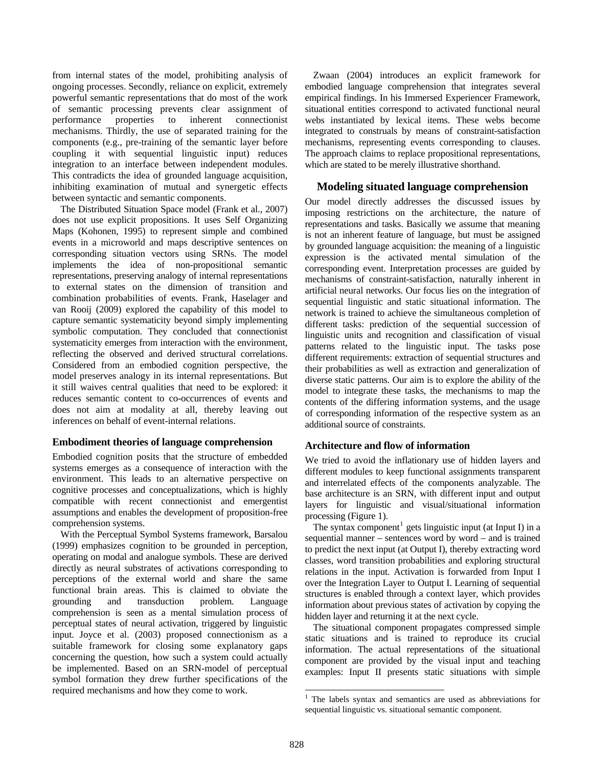from internal states of the model, prohibiting analysis of ongoing processes. Secondly, reliance on explicit, extremely powerful semantic representations that do most of the work of semantic processing prevents clear assignment of performance properties to inherent connectionist mechanisms. Thirdly, the use of separated training for the components (e.g., pre-training of the semantic layer before coupling it with sequential linguistic input) reduces integration to an interface between independent modules. This contradicts the idea of grounded language acquisition, inhibiting examination of mutual and synergetic effects between syntactic and semantic components.

The Distributed Situation Space model (Frank et al., 2007) does not use explicit propositions. It uses Self Organizing Maps (Kohonen, 1995) to represent simple and combined events in a microworld and maps descriptive sentences on corresponding situation vectors using SRNs. The model implements the idea of non-propositional semantic representations, preserving analogy of internal representations to external states on the dimension of transition and combination probabilities of events. Frank, Haselager and van Rooij (2009) explored the capability of this model to capture semantic systematicity beyond simply implementing symbolic computation. They concluded that connectionist systematicity emerges from interaction with the environment, reflecting the observed and derived structural correlations. Considered from an embodied cognition perspective, the model preserves analogy in its internal representations. But it still waives central qualities that need to be explored: it reduces semantic content to co-occurrences of events and does not aim at modality at all, thereby leaving out inferences on behalf of event-internal relations.

### **Embodiment theories of language comprehension**

Embodied cognition posits that the structure of embedded systems emerges as a consequence of interaction with the environment. This leads to an alternative perspective on cognitive processes and conceptualizations, which is highly compatible with recent connectionist and emergentist assumptions and enables the development of proposition-free comprehension systems.

<span id="page-1-0"></span>With the Perceptual Symbol Systems framework, Barsalou (1999) emphasizes cognition to be grounded in perception, operating on modal and analogue symbols. These are derived directly as neural substrates of activations corresponding to perceptions of the external world and share the same functional brain areas. This is claimed to obviate the grounding and transduction problem. Language comprehension is seen as a mental simulation process of perceptual states of neural activation, triggered by linguistic input. Joyce et al. (2003) proposed connectionism as a suitable framework for closing some explanatory gaps concerning the question, how such a system could actually be implemented. Based on an SRN-model of perceptual symbol formation they drew further specifications of the required mechanisms and how they come to work.

Zwaan (2004) introduces an explicit framework for embodied language comprehension that integrates several empirical findings. In his Immersed Experiencer Framework, situational entities correspond to activated functional neural webs instantiated by lexical items. These webs become integrated to construals by means of constraint-satisfaction mechanisms, representing events corresponding to clauses. The approach claims to replace propositional representations, which are stated to be merely illustrative shorthand.

# **Modeling situated language comprehension**

Our model directly addresses the discussed issues by imposing restrictions on the architecture, the nature of representations and tasks. Basically we assume that meaning is not an inherent feature of language, but must be assigned by grounded language acquisition: the meaning of a linguistic expression is the activated mental simulation of the corresponding event. Interpretation processes are guided by mechanisms of constraint-satisfaction, naturally inherent in artificial neural networks. Our focus lies on the integration of sequential linguistic and static situational information. The network is trained to achieve the simultaneous completion of different tasks: prediction of the sequential succession of linguistic units and recognition and classification of visual patterns related to the linguistic input. The tasks pose different requirements: extraction of sequential structures and their probabilities as well as extraction and generalization of diverse static patterns. Our aim is to explore the ability of the model to integrate these tasks, the mechanisms to map the contents of the differing information systems, and the usage of corresponding information of the respective system as an additional source of constraints.

# **Architecture and flow of information**

We tried to avoid the inflationary use of hidden layers and different modules to keep functional assignments transparent and interrelated effects of the components analyzable. The base architecture is an SRN, with different input and output layers for linguistic and visual/situational information processing (Figure 1).

The syntax component<sup>[1](#page-1-0)</sup> gets linguistic input (at Input I) in a sequential manner – sentences word by word – and is trained to predict the next input (at Output I), thereby extracting word classes, word transition probabilities and exploring structural relations in the input. Activation is forwarded from Input I over the Integration Layer to Output I. Learning of sequential structures is enabled through a context layer, which provides information about previous states of activation by copying the hidden layer and returning it at the next cycle.

The situational component propagates compressed simple static situations and is trained to reproduce its crucial information. The actual representations of the situational component are provided by the visual input and teaching examples: Input II presents static situations with simple

 1 The labels syntax and semantics are used as abbreviations for sequential linguistic vs. situational semantic component.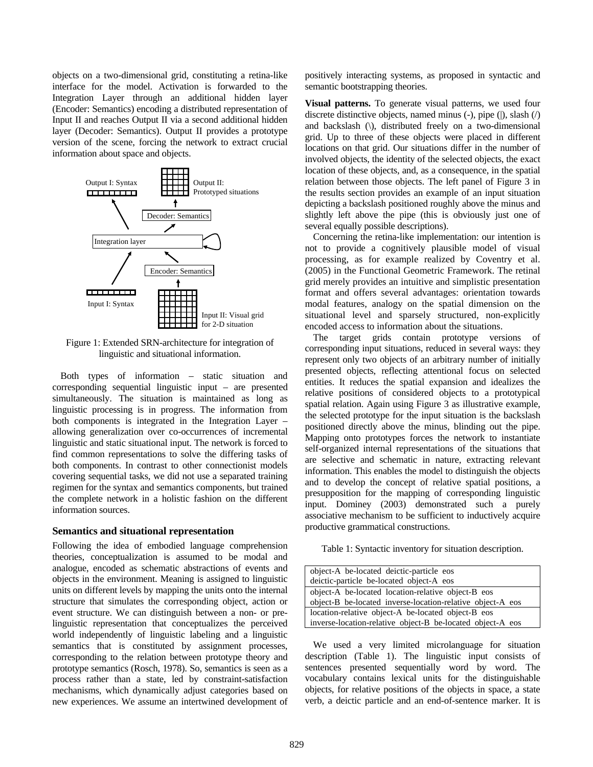objects on a two-dimensional grid, constituting a retina-like interface for the model. Activation is forwarded to the Integration Layer through an additional hidden layer (Encoder: Semantics) encoding a distributed representation of Input II and reaches Output II via a second additional hidden layer (Decoder: Semantics). Output II provides a prototype version of the scene, forcing the network to extract crucial information about space and objects.



Figure 1: Extended SRN-architecture for integration of linguistic and situational information.

Both types of information – static situation and corresponding sequential linguistic input – are presented simultaneously. The situation is maintained as long as linguistic processing is in progress. The information from both components is integrated in the Integration Layer – allowing generalization over co-occurrences of incremental linguistic and static situational input. The network is forced to find common representations to solve the differing tasks of both components. In contrast to other connectionist models covering sequential tasks, we did not use a separated training regimen for the syntax and semantics components, but trained the complete network in a holistic fashion on the different information sources.

#### **Semantics and situational representation**

Following the idea of embodied language comprehension theories, conceptualization is assumed to be modal and analogue, encoded as schematic abstractions of events and objects in the environment. Meaning is assigned to linguistic units on different levels by mapping the units onto the internal structure that simulates the corresponding object, action or event structure. We can distinguish between a non- or prelinguistic representation that conceptualizes the perceived world independently of linguistic labeling and a linguistic semantics that is constituted by assignment processes, corresponding to the relation between prototype theory and prototype semantics (Rosch, 1978). So, semantics is seen as a process rather than a state, led by constraint-satisfaction mechanisms, which dynamically adjust categories based on new experiences. We assume an intertwined development of positively interacting systems, as proposed in syntactic and semantic bootstrapping theories.

**Visual patterns.** To generate visual patterns, we used four discrete distinctive objects, named minus  $(-)$ , pipe  $(\cdot)$ , slash  $(\cdot)$ and backslash (\), distributed freely on a two-dimensional grid. Up to three of these objects were placed in different locations on that grid. Our situations differ in the number of involved objects, the identity of the selected objects, the exact location of these objects, and, as a consequence, in the spatial relation between those objects. The left panel of Figure 3 in the results section provides an example of an input situation depicting a backslash positioned roughly above the minus and slightly left above the pipe (this is obviously just one of several equally possible descriptions).

Concerning the retina-like implementation: our intention is not to provide a cognitively plausible model of visual processing, as for example realized by Coventry et al. (2005) in the Functional Geometric Framework. The retinal grid merely provides an intuitive and simplistic presentation format and offers several advantages: orientation towards modal features, analogy on the spatial dimension on the situational level and sparsely structured, non-explicitly encoded access to information about the situations.

The target grids contain prototype versions of corresponding input situations, reduced in several ways: they represent only two objects of an arbitrary number of initially presented objects, reflecting attentional focus on selected entities. It reduces the spatial expansion and idealizes the relative positions of considered objects to a prototypical spatial relation. Again using Figure 3 as illustrative example, the selected prototype for the input situation is the backslash positioned directly above the minus, blinding out the pipe. Mapping onto prototypes forces the network to instantiate self-organized internal representations of the situations that are selective and schematic in nature, extracting relevant information. This enables the model to distinguish the objects and to develop the concept of relative spatial positions, a presupposition for the mapping of corresponding linguistic input. Dominey (2003) demonstrated such a purely associative mechanism to be sufficient to inductively acquire productive grammatical constructions.

Table 1: Syntactic inventory for situation description.

| object-A be-located deictic-particle eos                   |
|------------------------------------------------------------|
| deictic-particle be-located object-A eos                   |
| object-A be-located location-relative object-B eos         |
| object-B be-located inverse-location-relative object-A eos |
| location-relative object-A be-located object-B eos         |
| inverse-location-relative object-B be-located object-A eos |

We used a very limited microlanguage for situation description (Table 1). The linguistic input consists of sentences presented sequentially word by word. The vocabulary contains lexical units for the distinguishable objects, for relative positions of the objects in space, a state verb, a deictic particle and an end-of-sentence marker. It is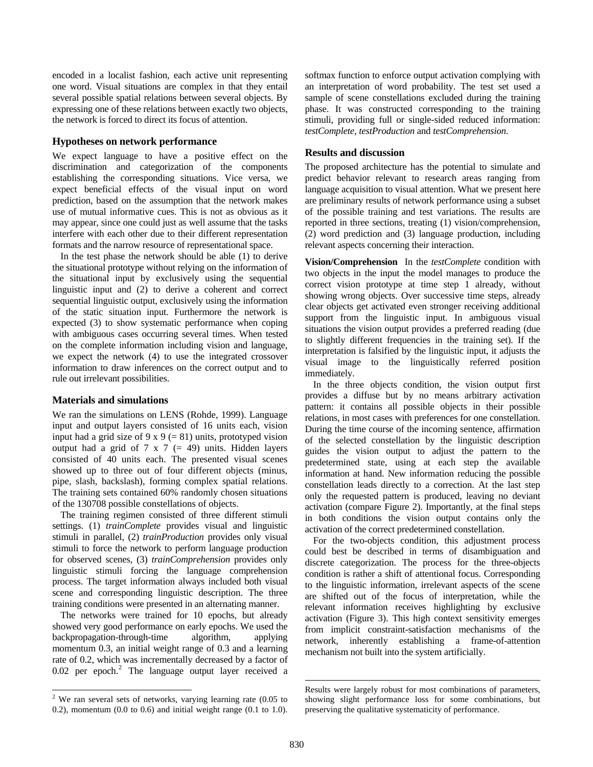encoded in a localist fashion, each active unit representing one word. Visual situations are complex in that they entail several possible spatial relations between several objects. By expressing one of these relations between exactly two objects, the network is forced to direct its focus of attention.

# **Hypotheses on network performance**

We expect language to have a positive effect on the discrimination and categorization of the components establishing the corresponding situations. Vice versa, we expect beneficial effects of the visual input on word prediction, based on the assumption that the network makes use of mutual informative cues. This is not as obvious as it may appear, since one could just as well assume that the tasks interfere with each other due to their different representation formats and the narrow resource of representational space.

In the test phase the network should be able (1) to derive the situational prototype without relying on the information of the situational input by exclusively using the sequential linguistic input and (2) to derive a coherent and correct sequential linguistic output, exclusively using the information of the static situation input. Furthermore the network is expected (3) to show systematic performance when coping with ambiguous cases occurring several times. When tested on the complete information including vision and language, we expect the network (4) to use the integrated crossover information to draw inferences on the correct output and to rule out irrelevant possibilities.

#### **Materials and simulations**

We ran the simulations on LENS (Rohde, 1999). Language input and output layers consisted of 16 units each, vision input had a grid size of 9 x 9 (= 81) units, prototyped vision output had a grid of 7 x 7  $(= 49)$  units. Hidden layers consisted of 40 units each. The presented visual scenes showed up to three out of four different objects (minus, pipe, slash, backslash), forming complex spatial relations. The training sets contained 60% randomly chosen situations of the 130708 possible constellations of objects.

The training regimen consisted of three different stimuli settings. (1) *trainComplete* provides visual and linguistic stimuli in parallel, (2) *trainProduction* provides only visual stimuli to force the network to perform language production for observed scenes, (3) *trainComprehension* provides only linguistic stimuli forcing the language comprehension process. The target information always included both visual scene and corresponding linguistic description. The three training conditions were presented in an alternating manner.

The networks were trained for 10 epochs, but already showed very good performance on early epochs. We used the backpropagation-through-time algorithm, applying momentum 0.3, an initial weight range of 0.3 and a learning rate of 0.2, which was incrementally decreased by a factor of  $0.02$  $0.02$  per epoch.<sup>2</sup> The language output layer received a softmax function to enforce output activation complying with an interpretation of word probability. The test set used a sample of scene constellations excluded during the training phase. It was constructed corresponding to the training stimuli, providing full or single-sided reduced information: *testComplete*, *testProduction* and *testComprehension*.

### **Results and discussion**

The proposed architecture has the potential to simulate and predict behavior relevant to research areas ranging from language acquisition to visual attention. What we present here are preliminary results of network performance using a subset of the possible training and test variations. The results are reported in three sections, treating (1) vision/comprehension, (2) word prediction and (3) language production, including relevant aspects concerning their interaction.

**Vision/Comprehension** In the *testComplete* condition with two objects in the input the model manages to produce the correct vision prototype at time step 1 already, without showing wrong objects. Over successive time steps, already clear objects get activated even stronger receiving additional support from the linguistic input. In ambiguous visual situations the vision output provides a preferred reading (due to slightly different frequencies in the training set). If the interpretation is falsified by the linguistic input, it adjusts the visual image to the linguistically referred position immediately.

In the three objects condition, the vision output first provides a diffuse but by no means arbitrary activation pattern: it contains all possible objects in their possible relations, in most cases with preferences for one constellation. During the time course of the incoming sentence, affirmation of the selected constellation by the linguistic description guides the vision output to adjust the pattern to the predetermined state, using at each step the available information at hand. New information reducing the possible constellation leads directly to a correction. At the last step only the requested pattern is produced, leaving no deviant activation (compare Figure 2). Importantly, at the final steps in both conditions the vision output contains only the activation of the correct predetermined constellation.

For the two-objects condition, this adjustment process could best be described in terms of disambiguation and discrete categorization. The process for the three-objects condition is rather a shift of attentional focus. Corresponding to the linguistic information, irrelevant aspects of the scene are shifted out of the focus of interpretation, while the relevant information receives highlighting by exclusive activation (Figure 3). This high context sensitivity emerges from implicit constraint-satisfaction mechanisms of the network, inherently establishing a frame-of-attention mechanism not built into the system artificially.

 $\overline{a}$ 

<span id="page-3-0"></span><sup>&</sup>lt;sup>2</sup> We ran several sets of networks, varying learning rate (0.05 to 0.2), momentum  $(0.0 \text{ to } 0.6)$  and initial weight range  $(0.1 \text{ to } 1.0)$ .

Results were largely robust for most combinations of parameters, showing slight performance loss for some combinations, but preserving the qualitative systematicity of performance.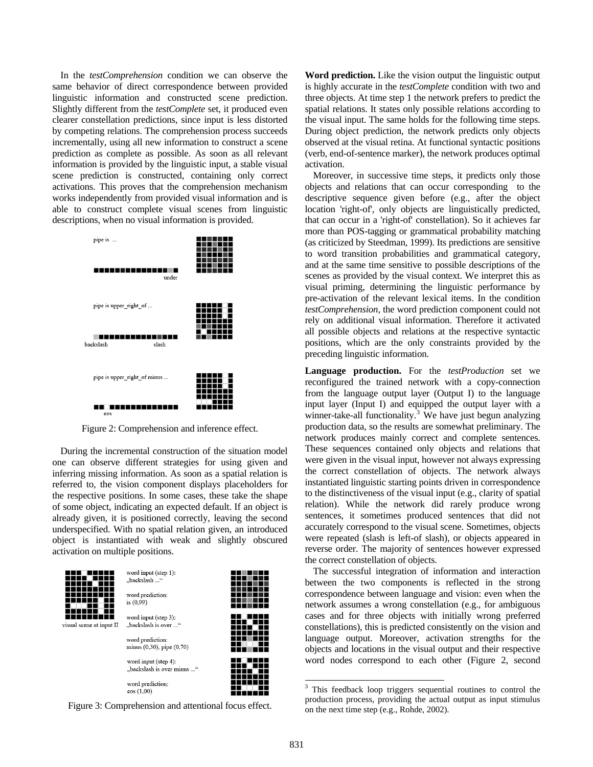In the *testComprehension* condition we can observe the same behavior of direct correspondence between provided linguistic information and constructed scene prediction. Slightly different from the *testComplete* set, it produced even clearer constellation predictions, since input is less distorted by competing relations. The comprehension process succeeds incrementally, using all new information to construct a scene prediction as complete as possible. As soon as all relevant information is provided by the linguistic input, a stable visual scene prediction is constructed, containing only correct activations. This proves that the comprehension mechanism works independently from provided visual information and is able to construct complete visual scenes from linguistic descriptions, when no visual information is provided.



Figure 2: Comprehension and inference effect.

During the incremental construction of the situation model one can observe different strategies for using given and inferring missing information. As soon as a spatial relation is referred to, the vision component displays placeholders for the respective positions. In some cases, these take the shape of some object, indicating an expected default. If an object is already given, it is positioned correctly, leaving the second underspecified. With no spatial relation given, an introduced object is instantiated with weak and slightly obscured activation on multiple positions.



<span id="page-4-0"></span>

**Word prediction.** Like the vision output the linguistic output is highly accurate in the *testComplete* condition with two and three objects. At time step 1 the network prefers to predict the spatial relations. It states only possible relations according to the visual input. The same holds for the following time steps. During object prediction, the network predicts only objects observed at the visual retina. At functional syntactic positions (verb, end-of-sentence marker), the network produces optimal activation.

Moreover, in successive time steps, it predicts only those objects and relations that can occur corresponding to the descriptive sequence given before (e.g., after the object location 'right-of', only objects are linguistically predicted, that can occur in a 'right-of' constellation). So it achieves far more than POS-tagging or grammatical probability matching (as criticized by Steedman, 1999). Its predictions are sensitive to word transition probabilities and grammatical category, and at the same time sensitive to possible descriptions of the scenes as provided by the visual context. We interpret this as visual priming, determining the linguistic performance by pre-activation of the relevant lexical items. In the condition *testComprehension*, the word prediction component could not rely on additional visual information. Therefore it activated all possible objects and relations at the respective syntactic positions, which are the only constraints provided by the preceding linguistic information.

**Language production.** For the *testProduction* set we reconfigured the trained network with a copy-connection from the language output layer (Output I) to the language input layer (Input I) and equipped the output layer with a winner-take-all functionality.<sup>[3](#page-4-0)</sup> We have just begun analyzing production data, so the results are somewhat preliminary. The network produces mainly correct and complete sentences. These sequences contained only objects and relations that were given in the visual input, however not always expressing the correct constellation of objects. The network always instantiated linguistic starting points driven in correspondence to the distinctiveness of the visual input (e.g., clarity of spatial relation). While the network did rarely produce wrong sentences, it sometimes produced sentences that did not accurately correspond to the visual scene. Sometimes, objects were repeated (slash is left-of slash), or objects appeared in reverse order. The majority of sentences however expressed the correct constellation of objects.

The successful integration of information and interaction between the two components is reflected in the strong correspondence between language and vision: even when the network assumes a wrong constellation (e.g., for ambiguous cases and for three objects with initially wrong preferred constellations), this is predicted consistently on the vision and language output. Moreover, activation strengths for the objects and locations in the visual output and their respective word nodes correspond to each other (Figure 2, second

<sup>&</sup>lt;sup>3</sup> This feedback loop triggers sequential routines to control the production process, providing the actual output as input stimulus on the next time step (e.g., Rohde, 2002).